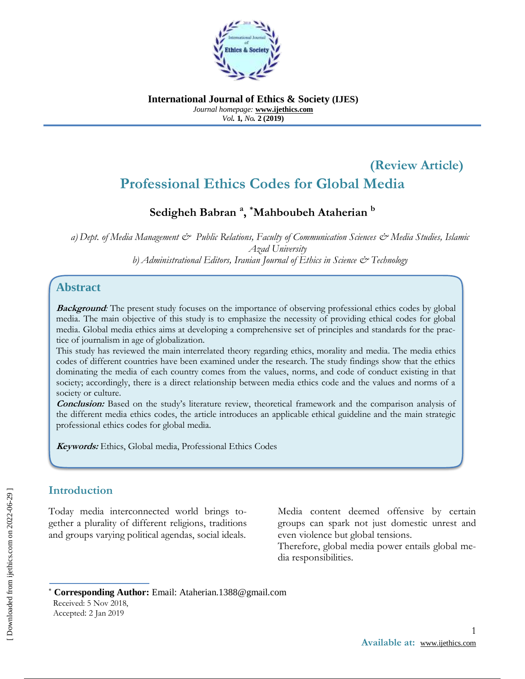

**International Journal of Ethics & Society (IJES)** *Journal homepage:* **www.ijethics.com** *Vol.* **1***, No.* **2 (2019)**

# **(Review Article) Professional Ethics Codes for Global Media**

# **Sedigheh Babran <sup>a</sup> , \*Mahboubeh Ataherian <sup>b</sup>**

*a) Dept. of Media Management & Public Relations, Faculty of Communication Sciences & Media Studies, Islamic Azad University b) Administrational Editors, Iranian Journal of Ethics in Science & Technology*

# **Abstract**

**Background:** The present study focuses on the importance of observing professional ethics codes by global media. The main objective of this study is to emphasize the necessity of providing ethical codes for global media. Global media ethics aims at developing a comprehensive set of principles and standards for the practice of journalism in age of globalization.

This study has reviewed the main interrelated theory regarding ethics, morality and media. The media ethics codes of different countries have been examined under the research. The study findings show that the ethics dominating the media of each country comes from the values, norms, and code of conduct existing in that society; accordingly, there is a direct relationship between media ethics code and the values and norms of a society or culture.

**Conclusion:** Based on the study's literature review, theoretical framework and the comparison analysis of the different media ethics codes, the article introduces an applicable ethical guideline and the main strategic professional ethics codes for global media.

**Keywords:** Ethics, Global media, Professional Ethics Codes

### **Introduction**

Today media interconnected world brings together a plurality of different religions, traditions and groups varying political agendas, social ideals.

Media content deemed offensive by certain groups can spark not just domestic unrest and even violence but global tensions.

Therefore, global media power entails global media responsibilities.

 **Corresponding Author:** Email: Ataherian.1388@gmail.com Received: 5 Nov 2018, Accepted: 2 Jan 2019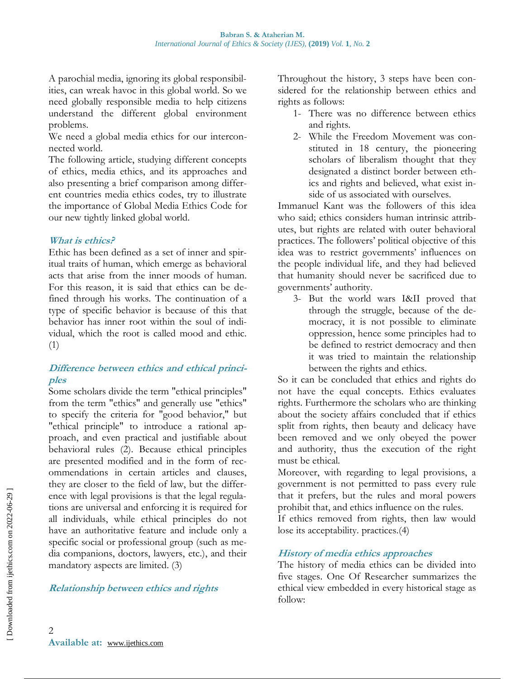A parochial media, ignoring its global responsibilities, can wreak havoc in this global world. So we need globally responsible media to help citizens understand the different global environment problems.

We need a global media ethics for our interconnected world.

The following article, studying different concepts of ethics, media ethics, and its approaches and also presenting a brief comparison among different countries media ethics codes, try to illustrate the importance of Global Media Ethics Code for our new tightly linked global world.

#### **What is ethics?**

Ethic has been defined as a set of inner and spiritual traits of human, which emerge as behavioral acts that arise from the inner moods of human. For this reason, it is said that ethics can be defined through his works. The continuation of a type of specific behavior is because of this that behavior has inner root within the soul of individual, which the root is called mood and ethic. (1)

### **Difference between ethics and ethical principles**

Some scholars divide the term "ethical principles" from the term "ethics" and generally use "ethics" to specify the criteria for "good behavior," but "ethical principle" to introduce a rational approach, and even practical and justifiable about behavioral rules (2). Because ethical principles are presented modified and in the form of recommendations in certain articles and clauses, they are closer to the field of law, but the difference with legal provisions is that the legal regulations are universal and enforcing it is required for all individuals, while ethical principles do not have an authoritative feature and include only a specific social or professional group (such as media companions, doctors, lawyers, etc.), and their mandatory aspects are limited. (3)

**Relationship between ethics and rights** 

Throughout the history, 3 steps have been considered for the relationship between ethics and rights as follows:

- 1- There was no difference between ethics and rights.
- 2- While the Freedom Movement was constituted in 18 century, the pioneering scholars of liberalism thought that they designated a distinct border between ethics and rights and believed, what exist inside of us associated with ourselves.

Immanuel Kant was the followers of this idea who said; ethics considers human intrinsic attributes, but rights are related with outer behavioral practices. The followers' political objective of this idea was to restrict governments' influences on the people individual life, and they had believed that humanity should never be sacrificed due to governments' authority.

3- But the world wars I&II proved that through the struggle, because of the democracy, it is not possible to eliminate oppression, hence some principles had to be defined to restrict democracy and then it was tried to maintain the relationship between the rights and ethics.

So it can be concluded that ethics and rights do not have the equal concepts. Ethics evaluates rights. Furthermore the scholars who are thinking about the society affairs concluded that if ethics split from rights, then beauty and delicacy have been removed and we only obeyed the power and authority, thus the execution of the right must be ethical.

Moreover, with regarding to legal provisions, a government is not permitted to pass every rule that it prefers, but the rules and moral powers prohibit that, and ethics influence on the rules.

If ethics removed from rights, then law would lose its acceptability. practices.(4)

# **History of media ethics approaches**

The history of media ethics can be divided into five stages. One Of Researcher summarizes the ethical view embedded in every historical stage as follow: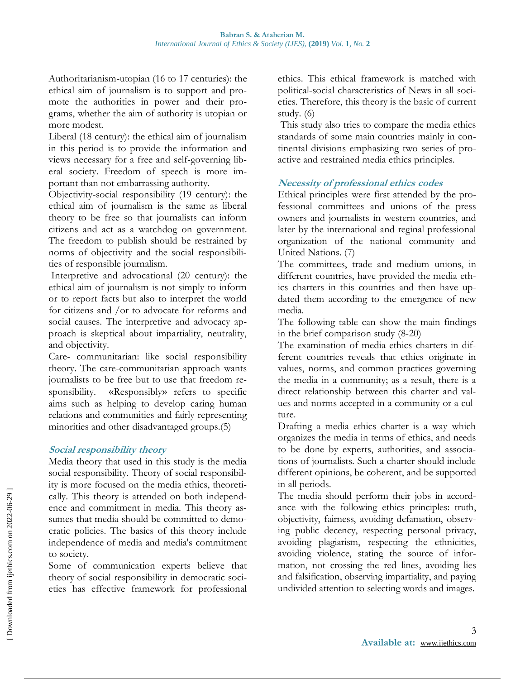Authoritarianism-utopian (16 to 17 centuries): the ethical aim of journalism is to support and promote the authorities in power and their programs, whether the aim of authority is utopian or more modest.

Liberal (18 century): the ethical aim of journalism in this period is to provide the information and views necessary for a free and self-governing liberal society. Freedom of speech is more important than not embarrassing authority.

Objectivity-social responsibility (19 century): the ethical aim of journalism is the same as liberal theory to be free so that journalists can inform citizens and act as a watchdog on government. The freedom to publish should be restrained by norms of objectivity and the social responsibilities of responsible journalism.

Interpretive and advocational (20 century): the ethical aim of journalism is not simply to inform or to report facts but also to interpret the world for citizens and /or to advocate for reforms and social causes. The interpretive and advocacy approach is skeptical about impartiality, neutrality, and objectivity.

Care- communitarian: like social responsibility theory. The care-communitarian approach wants journalists to be free but to use that freedom responsibility. «Responsibly» refers to specific aims such as helping to develop caring human relations and communities and fairly representing minorities and other disadvantaged groups.(5)

#### **Social responsibility theory**

Media theory that used in this study is the media social responsibility. Theory of social responsibility is more focused on the media ethics, theoretically. This theory is attended on both independence and commitment in media. This theory assumes that media should be committed to democratic policies. The basics of this theory include independence of media and media's commitment to society.

Some of communication experts believe that theory of social responsibility in democratic societies has effective framework for professional ethics. This ethical framework is matched with political-social characteristics of News in all societies. Therefore, this theory is the basic of current study. (6)

This study also tries to compare the media ethics standards of some main countries mainly in continental divisions emphasizing two series of proactive and restrained media ethics principles.

### **Necessity of professional ethics codes**

Ethical principles were first attended by the professional committees and unions of the press owners and journalists in western countries, and later by the international and reginal professional organization of the national community and United Nations. (7)

The committees, trade and medium unions, in different countries, have provided the media ethics charters in this countries and then have updated them according to the emergence of new media.

The following table can show the main findings in the brief comparison study (8-20)

The examination of media ethics charters in different countries reveals that ethics originate in values, norms, and common practices governing the media in a community; as a result, there is a direct relationship between this charter and values and norms accepted in a community or a culture.

Drafting a media ethics charter is a way which organizes the media in terms of ethics, and needs to be done by experts, authorities, and associations of journalists. Such a charter should include different opinions, be coherent, and be supported in all periods.

The media should perform their jobs in accordance with the following ethics principles: truth, objectivity, fairness, avoiding defamation, observing public decency, respecting personal privacy, avoiding plagiarism, respecting the ethnicities, avoiding violence, stating the source of information, not crossing the red lines, avoiding lies and falsification, observing impartiality, and paying undivided attention to selecting words and images.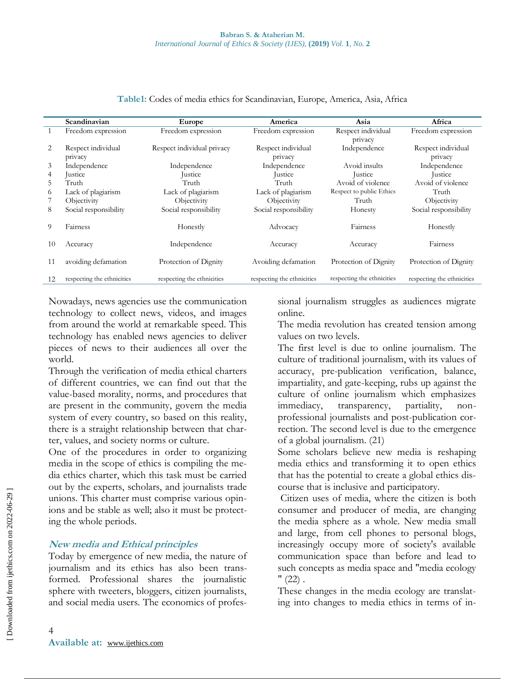|    | Scandinavian               | Europe                     | America                    | Asia                       | Africa                     |
|----|----------------------------|----------------------------|----------------------------|----------------------------|----------------------------|
|    | Freedom expression         | Freedom expression         | Freedom expression         | Respect individual         | Freedom expression         |
| 2  | Respect individual         | Respect individual privacy | Respect individual         | privacy<br>Independence    | Respect individual         |
|    | privacy                    |                            | privacy                    |                            | privacy                    |
| 3  | Independence               | Independence               | Independence               | Avoid insults              | Independence               |
| 4  | Justice                    | Justice                    | <i>s</i> ustice            | <i>s</i> ustice            | Justice                    |
| 5  | Truth                      | Truth                      | Truth                      | Avoid of violence          | Avoid of violence          |
| 6  | Lack of plagiarism         | Lack of plagiarism         | Lack of plagiarism         | Respect to public Ethics   | Truth                      |
|    | Objectivity                | Objectivity                | Objectivity                | Truth                      | Objectivity                |
| 8  | Social responsibility      | Social responsibility      | Social responsibility      | Honesty                    | Social responsibility      |
| 9  | Fairness                   | Honestly                   | Advocacy                   | Fairness                   | Honestly                   |
| 10 | Accuracy                   | Independence               | Accuracy                   | Accuracy                   | Fairness                   |
| 11 | avoiding defamation        | Protection of Dignity      | Avoiding defamation        | Protection of Dignity      | Protection of Dignity      |
|    | respecting the ethnicities | respecting the ethnicities | respecting the ethnicities | respecting the ethnicities | respecting the ethnicities |
|    |                            |                            |                            |                            |                            |

#### **Table1:** Codes of media ethics for Scandinavian, Europe, America, Asia, Africa

Nowadays, news agencies use the communication technology to collect news, videos, and images from around the world at remarkable speed. This technology has enabled news agencies to deliver pieces of news to their audiences all over the world.

Through the verification of media ethical charters of different countries, we can find out that the value-based morality, norms, and procedures that are present in the community, govern the media system of every country, so based on this reality, there is a straight relationship between that charter, values, and society norms or culture.

One of the procedures in order to organizing media in the scope of ethics is compiling the media ethics charter, which this task must be carried out by the experts, scholars, and journalists trade unions. This charter must comprise various opinions and be stable as well; also it must be protecting the whole periods.

#### **New media and Ethical principles**

Today by emergence of new media, the nature of journalism and its ethics has also been transformed. Professional shares the journalistic sphere with tweeters, bloggers, citizen journalists, and social media users. The economics of professional journalism struggles as audiences migrate online.

The media revolution has created tension among values on two levels.

The first level is due to online journalism. The culture of traditional journalism, with its values of accuracy, pre-publication verification, balance, impartiality, and gate-keeping, rubs up against the culture of online journalism which emphasizes immediacy, transparency, partiality, nonprofessional journalists and post-publication correction. The second level is due to the emergence of a global journalism. (21)

Some scholars believe new media is reshaping media ethics and transforming it to open ethics that has the potential to create a global ethics discourse that is inclusive and participatory.

Citizen uses of media, where the citizen is both consumer and producer of media, are changing the media sphere as a whole. New media small and large, from cell phones to personal blogs, increasingly occupy more of society's available communication space than before and lead to such concepts as media space and "media ecology  $"$  (22).

These changes in the media ecology are translating into changes to media ethics in terms of in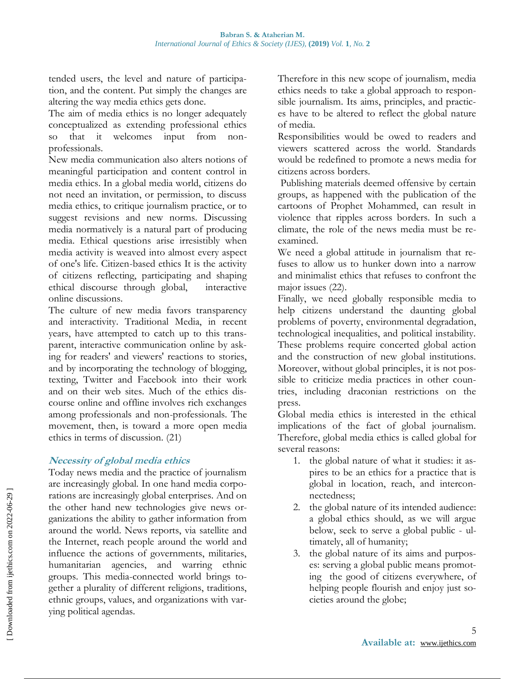tended users, the level and nature of participation, and the content. Put simply the changes are altering the way media ethics gets done.

The aim of media ethics is no longer adequately conceptualized as extending professional ethics so that it welcomes input from nonprofessionals.

New media communication also alters notions of meaningful participation and content control in media ethics. In a global media world, citizens do not need an invitation, or permission, to discuss media ethics, to critique journalism practice, or to suggest revisions and new norms. Discussing media normatively is a natural part of producing media. Ethical questions arise irresistibly when media activity is weaved into almost every aspect of one's life. Citizen-based ethics It is the activity of citizens reflecting, participating and shaping ethical discourse through global, interactive online discussions.

The culture of new media favors transparency and interactivity. Traditional Media, in recent years, have attempted to catch up to this transparent, interactive communication online by asking for readers' and viewers' reactions to stories, and by incorporating the technology of blogging, texting, Twitter and Facebook into their work and on their web sites. Much of the ethics discourse online and offline involves rich exchanges among professionals and non-professionals. The movement, then, is toward a more open media ethics in terms of discussion. (21)

#### **Necessity of global media ethics**

Today news media and the practice of journalism are increasingly global. In one hand media corporations are increasingly global enterprises. And on the other hand new technologies give news organizations the ability to gather information from around the world. News reports, via satellite and the Internet, reach people around the world and influence the actions of governments, militaries, humanitarian agencies, and warring ethnic groups. This media-connected world brings together a plurality of different religions, traditions, ethnic groups, values, and organizations with varying political agendas.

Therefore in this new scope of journalism, media ethics needs to take a global approach to responsible journalism. Its aims, principles, and practices have to be altered to reflect the global nature of media.

Responsibilities would be owed to readers and viewers scattered across the world. Standards would be redefined to promote a news media for citizens across borders.

Publishing materials deemed offensive by certain groups, as happened with the publication of the cartoons of Prophet Mohammed, can result in violence that ripples across borders. In such a climate, the role of the news media must be reexamined.

We need a global attitude in journalism that refuses to allow us to hunker down into a narrow and minimalist ethics that refuses to confront the major issues (22).

Finally, we need globally responsible media to help citizens understand the daunting global problems of poverty, environmental degradation, technological inequalities, and political instability. These problems require concerted global action and the construction of new global institutions. Moreover, without global principles, it is not possible to criticize media practices in other countries, including draconian restrictions on the press.

Global media ethics is interested in the ethical implications of the fact of global journalism. Therefore, global media ethics is called global for several reasons:

- 1. the global nature of what it studies: it aspires to be an ethics for a practice that is global in location, reach, and interconnectedness;
- 2. the global nature of its intended audience: a global ethics should, as we will argue below, seek to serve a global public - ultimately, all of humanity;
- 3. the global nature of its aims and purposes: serving a global public means promoting the good of citizens everywhere, of helping people flourish and enjoy just societies around the globe;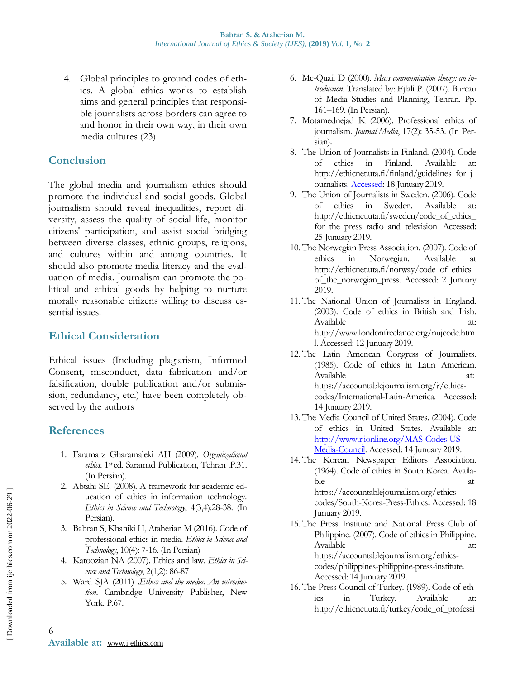4. Global principles to ground codes of ethics. A global ethics works to establish aims and general principles that responsible journalists across borders can agree to and honor in their own way, in their own media cultures (23).

## **Conclusion**

The global media and journalism ethics should promote the individual and social goods. Global journalism should reveal inequalities, report diversity, assess the quality of social life, monitor citizens' participation, and assist social bridging between diverse classes, ethnic groups, religions, and cultures within and among countries. It should also promote media literacy and the evaluation of media. Journalism can promote the political and ethical goods by helping to nurture morally reasonable citizens willing to discuss essential issues.

# **Ethical Consideration**

Ethical issues (Including plagiarism, Informed Consent, misconduct, data fabrication and/or falsification, double publication and/or submission, redundancy, etc.) have been completely observed by the authors

# **References**

- 1. Faramarz Gharamaleki AH (2009). *Organizational ethics*. 1sted. Saramad Publication, Tehran .P.31. (In Persian).
- 2. Abtahi SE. (2008). A framework for academic education of ethics in information technology. *Ethics in Science and Technology*, 4(3,4):28-38. (In Persian).
- 3. Babran S, Khaniki H, Ataherian M (2016). Code of professional ethics in media. *Ethics in Science and Technology*, 10(4): 7-16. (In Persian)
- 4. Katoozian NA (2007). Ethics and law. *Ethics in Science and Technology*, 2(1,2): 86-87
- 5. Ward SJA (2011) .*Ethics and the media: An introduction*. Cambridge University Publisher, New York. P.67.
- 6. Mc-Quail D (2000). *Mass communication theory: an introduction*. Translated by: Ejlali P. (2007). Bureau of Media Studies and Planning, Tehran. Pp. 161–169. (In Persian).
- 7. Motamednejad K (2006). Professional ethics of journalism. *Journal Media*, 17(2): 35-53. (In Persian).
- 8. The Union of Journalists in Finland. (2004). Code of ethics in Finland. Available at: [http://ethicnet.uta.fi/finland/guidelines\\_for\\_j](http://ethicnet.uta.fi/finland/guidelinesforjournalists.%20Accessed) [ournalists. Accessed:](http://ethicnet.uta.fi/finland/guidelinesforjournalists.%20Accessed) 18 Junuary 2019.
- 9. The Union of Journalists in Sweden. (2006). Code of ethics in Sweden. Available http://ethicnet.uta.fi/sweden/code\_of\_ethics\_ for\_the\_press\_radio\_and\_television Accessed: 25 Junuary 2019.
- 10. The Norwegian Press Association. (2007). Code of ethics in Norwegian. Available at http://ethicnet.uta.fi/norway/code\_of\_ethics\_ of\_the\_norwegian\_press. Accessed: 2 Junuary 2019.
- 11. The National Union of Journalists in England. (2003). Code of ethics in British and Irish. Available at: http://www.londonfreelance.org/nujcode.htm l. Accessed: 12 Junuary 2019.
- 12. The Latin American Congress of Journalists. (1985). Code of ethics in Latin American. Available https://accountablejournalism.org/?/ethicscodes/International-Latin-America. Accessed: 14 Junuary 2019.
- 13. The Media Council of United States. (2004). Code of ethics in United States. Available at: [http://www.rjionline.org/MAS-Codes-US-](http://www.rjionline.org/MAS-Codes-US-Media-Council)[Media-Council.](http://www.rjionline.org/MAS-Codes-US-Media-Council) Accessed: 14 Junuary 2019.
- 14. The Korean Newspaper Editors Association. (1964). Code of ethics in South Korea. Available at a state of  $\alpha$  at a state of  $\alpha$ https://accountablejournalism.org/ethicscodes/South-Korea-Press-Ethics. Accessed: 18 Junuary 2019.
- 15. The Press Institute and National Press Club of Philippine. (2007). Code of ethics in Philippine. Available at: https://accountablejournalism.org/ethicscodes/philippines-philippine-press-institute. Accessed: 14 Junuary 2019.
- 16. The Press Council of Turkey. (1989). Code of ethics in Turkey. Available at: http://ethicnet.uta.fi/turkey/code\_of\_professi